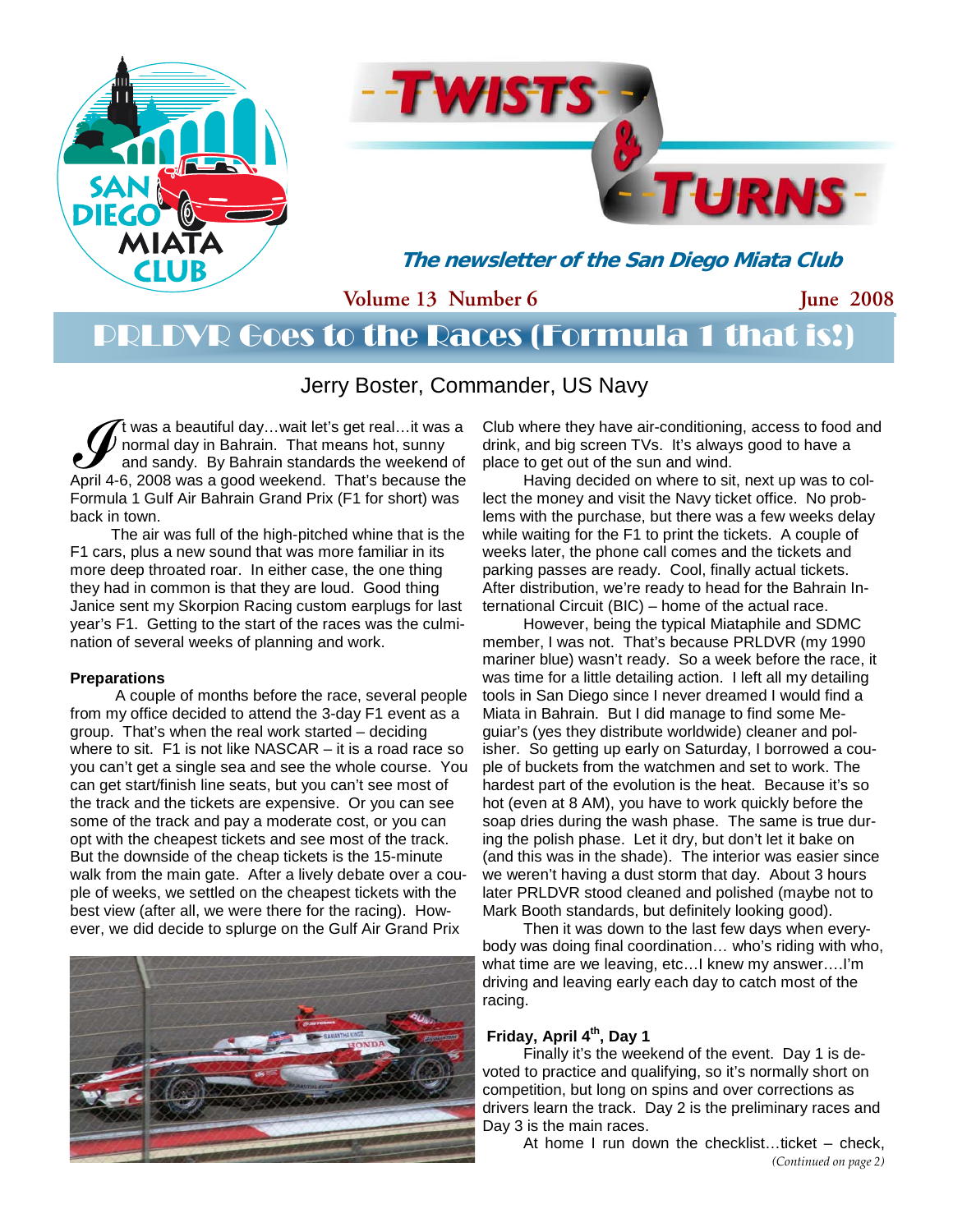



**The newsletter of the San Diego Miata Club** 

**Volume 13 Number 6** 

**June 2008** 

## PRLDVR Goes to the Races (Formula 1 that is!)

Jerry Boster, Commander, US Navy

It was a beautiful day...wait let's get real...it was a<br>normal day in Bahrain. That means hot, sunny<br>and sandy. By Bahrain standards the weekend of<br>April 4-6, 2008 was a good weekend. That's because the normal day in Bahrain. That means hot, sunny and sandy. By Bahrain standards the weekend of April 4-6, 2008 was a good weekend. That's because the Formula 1 Gulf Air Bahrain Grand Prix (F1 for short) was back in town.

The air was full of the high-pitched whine that is the F1 cars, plus a new sound that was more familiar in its more deep throated roar. In either case, the one thing they had in common is that they are loud. Good thing Janice sent my Skorpion Racing custom earplugs for last year's F1. Getting to the start of the races was the culmination of several weeks of planning and work.

#### **Preparations**

 A couple of months before the race, several people from my office decided to attend the 3-day F1 event as a group. That's when the real work started – deciding where to sit. F1 is not like NASCAR – it is a road race so you can't get a single sea and see the whole course. You can get start/finish line seats, but you can't see most of the track and the tickets are expensive. Or you can see some of the track and pay a moderate cost, or you can opt with the cheapest tickets and see most of the track. But the downside of the cheap tickets is the 15-minute walk from the main gate. After a lively debate over a couple of weeks, we settled on the cheapest tickets with the best view (after all, we were there for the racing). However, we did decide to splurge on the Gulf Air Grand Prix



Club where they have air-conditioning, access to food and drink, and big screen TVs. It's always good to have a place to get out of the sun and wind.

Having decided on where to sit, next up was to collect the money and visit the Navy ticket office. No problems with the purchase, but there was a few weeks delay while waiting for the F1 to print the tickets. A couple of weeks later, the phone call comes and the tickets and parking passes are ready. Cool, finally actual tickets. After distribution, we're ready to head for the Bahrain International Circuit (BIC) – home of the actual race.

However, being the typical Miataphile and SDMC member, I was not. That's because PRLDVR (my 1990 mariner blue) wasn't ready. So a week before the race, it was time for a little detailing action. I left all my detailing tools in San Diego since I never dreamed I would find a Miata in Bahrain. But I did manage to find some Meguiar's (yes they distribute worldwide) cleaner and polisher. So getting up early on Saturday, I borrowed a couple of buckets from the watchmen and set to work. The hardest part of the evolution is the heat. Because it's so hot (even at 8 AM), you have to work quickly before the soap dries during the wash phase. The same is true during the polish phase. Let it dry, but don't let it bake on (and this was in the shade). The interior was easier since we weren't having a dust storm that day. About 3 hours later PRLDVR stood cleaned and polished (maybe not to Mark Booth standards, but definitely looking good).

Then it was down to the last few days when everybody was doing final coordination… who's riding with who, what time are we leaving, etc…I knew my answer….I'm driving and leaving early each day to catch most of the racing.

### **Friday, April 4th, Day 1**

 Finally it's the weekend of the event. Day 1 is devoted to practice and qualifying, so it's normally short on competition, but long on spins and over corrections as drivers learn the track. Day 2 is the preliminary races and Day 3 is the main races.

 At home I run down the checklist…ticket – check, *(Continued on page 2)*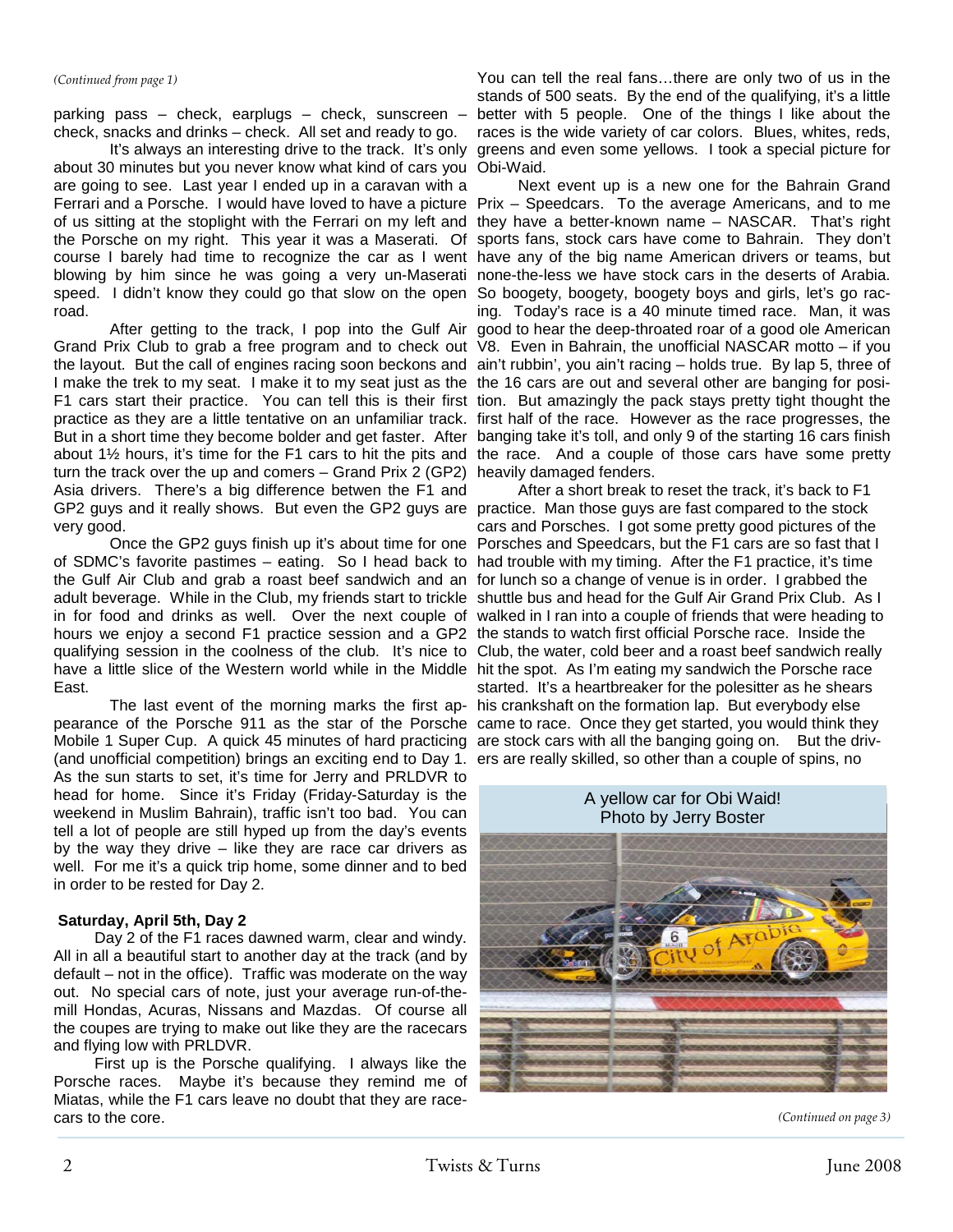#### *(Continued from page 1)*

check, snacks and drinks – check. All set and ready to go.

 It's always an interesting drive to the track. It's only greens and even some yellows. I took a special picture for about 30 minutes but you never know what kind of cars you Obi-Waid. are going to see. Last year I ended up in a caravan with a Ferrari and a Porsche. I would have loved to have a picture Prix – Speedcars. To the average Americans, and to me of us sitting at the stoplight with the Ferrari on my left and they have a better-known name – NASCAR. That's right the Porsche on my right. This year it was a Maserati. Of sports fans, stock cars have come to Bahrain. They don't course I barely had time to recognize the car as I went have any of the big name American drivers or teams, but speed. I didn't know they could go that slow on the open So boogety, boogety, boogety boys and girls, let's go racroad.

I make the trek to my seat. I make it to my seat just as the the 16 cars are out and several other are banging for positurn the track over the up and comers – Grand Prix 2 (GP2) heavily damaged fenders. Asia drivers. There's a big difference betwen the F1 and GP2 guys and it really shows. But even the GP2 guys are practice. Man those guys are fast compared to the stock very good.

 Once the GP2 guys finish up it's about time for one Porsches and Speedcars, but the F1 cars are so fast that I of SDMC's favorite pastimes – eating. So I head back to had trouble with my timing. After the F1 practice, it's time the Gulf Air Club and grab a roast beef sandwich and an for lunch so a change of venue is in order. I grabbed the adult beverage. While in the Club, my friends start to trickle shuttle bus and head for the Gulf Air Grand Prix Club. As I in for food and drinks as well. Over the next couple of walked in I ran into a couple of friends that were heading to hours we enjoy a second F1 practice session and a GP2 the stands to watch first official Porsche race. Inside the qualifying session in the coolness of the club. It's nice to Club, the water, cold beer and a roast beef sandwich really have a little slice of the Western world while in the Middle hit the spot. As I'm eating my sandwich the Porsche race East.

 The last event of the morning marks the first ap-his crankshaft on the formation lap. But everybody else pearance of the Porsche 911 as the star of the Porsche came to race. Once they get started, you would think they Mobile 1 Super Cup. A quick 45 minutes of hard practicing are stock cars with all the banging going on. But the driv-(and unofficial competition) brings an exciting end to Day 1. ers are really skilled, so other than a couple of spins, no As the sun starts to set, it's time for Jerry and PRLDVR to head for home. Since it's Friday (Friday-Saturday is the weekend in Muslim Bahrain), traffic isn't too bad. You can tell a lot of people are still hyped up from the day's events by the way they drive  $-$  like they are race car drivers as well. For me it's a quick trip home, some dinner and to bed in order to be rested for Day 2.

### **Saturday, April 5th, Day 2**

 Day 2 of the F1 races dawned warm, clear and windy. All in all a beautiful start to another day at the track (and by default – not in the office). Traffic was moderate on the way out. No special cars of note, just your average run-of-themill Hondas, Acuras, Nissans and Mazdas. Of course all the coupes are trying to make out like they are the racecars and flying low with PRLDVR.

 First up is the Porsche qualifying. I always like the Porsche races. Maybe it's because they remind me of Miatas, while the F1 cars leave no doubt that they are racecars to the core.

parking pass – check, earplugs – check, sunscreen – better with 5 people. One of the things I like about the You can tell the real fans…there are only two of us in the stands of 500 seats. By the end of the qualifying, it's a little races is the wide variety of car colors. Blues, whites, reds,

blowing by him since he was going a very un-Maserati none-the-less we have stock cars in the deserts of Arabia. After getting to the track, I pop into the Gulf Air good to hear the deep-throated roar of a good ole American Grand Prix Club to grab a free program and to check out V8. Even in Bahrain, the unofficial NASCAR motto – if you the layout. But the call of engines racing soon beckons and ain't rubbin', you ain't racing – holds true. By lap 5, three of F1 cars start their practice. You can tell this is their first tion. But amazingly the pack stays pretty tight thought the practice as they are a little tentative on an unfamiliar track. first half of the race. However as the race progresses, the But in a short time they become bolder and get faster. After banging take it's toll, and only 9 of the starting 16 cars finish about 1½ hours, it's time for the F1 cars to hit the pits and the race. And a couple of those cars have some pretty Next event up is a new one for the Bahrain Grand ing. Today's race is a 40 minute timed race. Man, it was

After a short break to reset the track, it's back to F1 cars and Porsches. I got some pretty good pictures of the started. It's a heartbreaker for the polesitter as he shears



A yellow car for Obi Waid!

*(Continued on page 3)*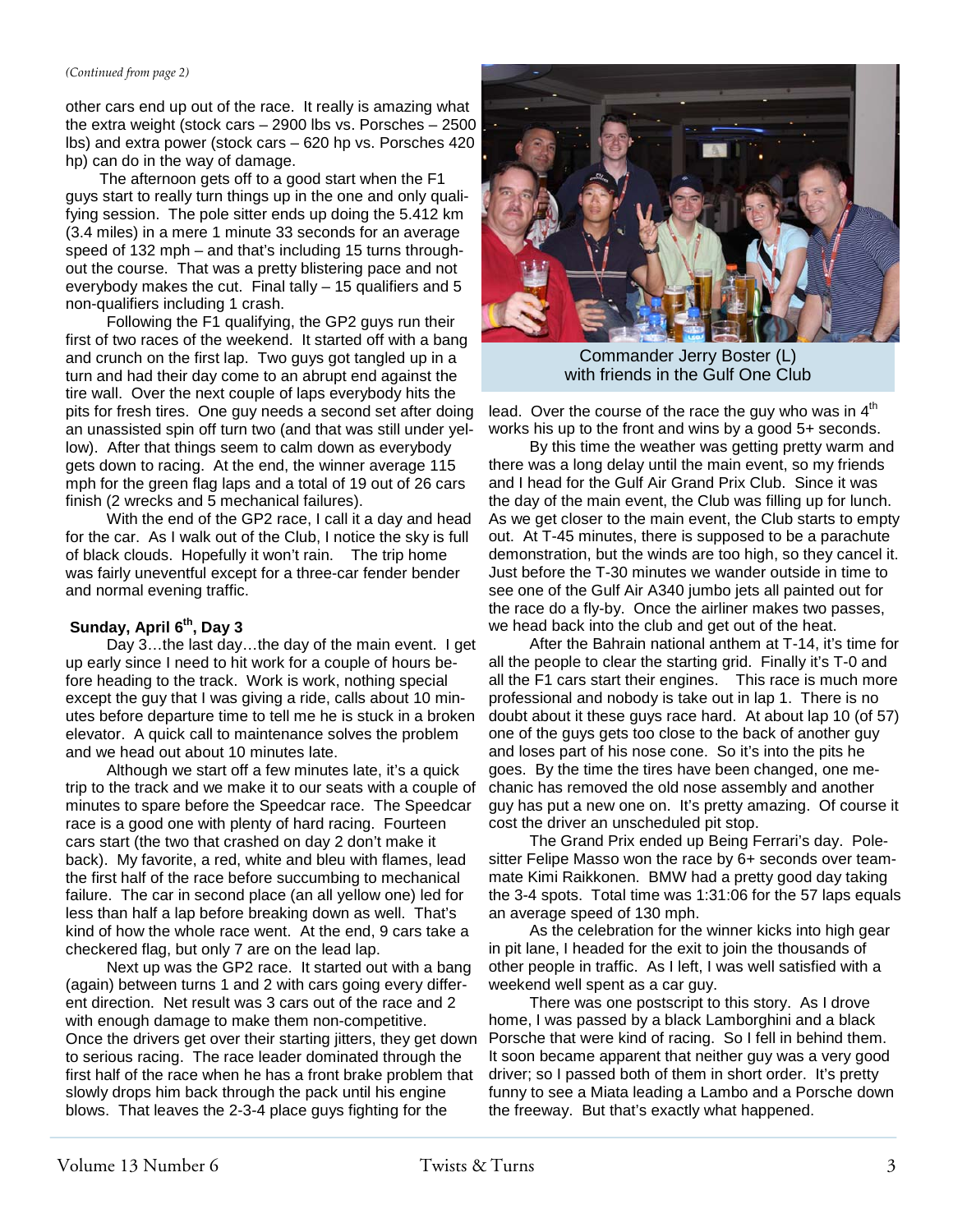#### *(Continued from page 2)*

other cars end up out of the race. It really is amazing what the extra weight (stock cars – 2900 lbs vs. Porsches – 2500 lbs) and extra power (stock cars – 620 hp vs. Porsches 420 hp) can do in the way of damage.

The afternoon gets off to a good start when the F1 guys start to really turn things up in the one and only qualifying session. The pole sitter ends up doing the 5.412 km (3.4 miles) in a mere 1 minute 33 seconds for an average speed of 132 mph – and that's including 15 turns throughout the course. That was a pretty blistering pace and not everybody makes the cut. Final tally  $-15$  qualifiers and 5 non-qualifiers including 1 crash.

Following the F1 qualifying, the GP2 guys run their first of two races of the weekend. It started off with a bang and crunch on the first lap. Two guys got tangled up in a turn and had their day come to an abrupt end against the tire wall. Over the next couple of laps everybody hits the pits for fresh tires. One guy needs a second set after doing an unassisted spin off turn two (and that was still under yellow). After that things seem to calm down as everybody gets down to racing. At the end, the winner average 115 mph for the green flag laps and a total of 19 out of 26 cars finish (2 wrecks and 5 mechanical failures).

With the end of the GP2 race, I call it a day and head for the car. As I walk out of the Club, I notice the sky is full of black clouds. Hopefully it won't rain. The trip home was fairly uneventful except for a three-car fender bender and normal evening traffic.

#### Sunday, April 6<sup>th</sup>, Day 3

Day 3…the last day…the day of the main event. I get up early since I need to hit work for a couple of hours before heading to the track. Work is work, nothing special except the guy that I was giving a ride, calls about 10 minutes before departure time to tell me he is stuck in a broken elevator. A quick call to maintenance solves the problem and we head out about 10 minutes late.

Although we start off a few minutes late, it's a quick trip to the track and we make it to our seats with a couple of minutes to spare before the Speedcar race. The Speedcar race is a good one with plenty of hard racing. Fourteen cars start (the two that crashed on day 2 don't make it back). My favorite, a red, white and bleu with flames, lead the first half of the race before succumbing to mechanical failure. The car in second place (an all yellow one) led for less than half a lap before breaking down as well. That's kind of how the whole race went. At the end, 9 cars take a checkered flag, but only 7 are on the lead lap.

Next up was the GP2 race. It started out with a bang (again) between turns 1 and 2 with cars going every different direction. Net result was 3 cars out of the race and 2 with enough damage to make them non-competitive. Once the drivers get over their starting jitters, they get down to serious racing. The race leader dominated through the first half of the race when he has a front brake problem that slowly drops him back through the pack until his engine blows. That leaves the 2-3-4 place guys fighting for the



Commander Jerry Boster (L) with friends in the Gulf One Club

lead. Over the course of the race the guy who was in  $4<sup>th</sup>$ works his up to the front and wins by a good 5+ seconds.

By this time the weather was getting pretty warm and there was a long delay until the main event, so my friends and I head for the Gulf Air Grand Prix Club. Since it was the day of the main event, the Club was filling up for lunch. As we get closer to the main event, the Club starts to empty out. At T-45 minutes, there is supposed to be a parachute demonstration, but the winds are too high, so they cancel it. Just before the T-30 minutes we wander outside in time to see one of the Gulf Air A340 jumbo jets all painted out for the race do a fly-by. Once the airliner makes two passes, we head back into the club and get out of the heat.

After the Bahrain national anthem at T-14, it's time for all the people to clear the starting grid. Finally it's T-0 and all the F1 cars start their engines. This race is much more professional and nobody is take out in lap 1. There is no doubt about it these guys race hard. At about lap 10 (of 57) one of the guys gets too close to the back of another guy and loses part of his nose cone. So it's into the pits he goes. By the time the tires have been changed, one mechanic has removed the old nose assembly and another guy has put a new one on. It's pretty amazing. Of course it cost the driver an unscheduled pit stop.

The Grand Prix ended up Being Ferrari's day. Polesitter Felipe Masso won the race by 6+ seconds over teammate Kimi Raikkonen. BMW had a pretty good day taking the 3-4 spots. Total time was 1:31:06 for the 57 laps equals an average speed of 130 mph.

As the celebration for the winner kicks into high gear in pit lane, I headed for the exit to join the thousands of other people in traffic. As I left, I was well satisfied with a weekend well spent as a car guy.

 There was one postscript to this story. As I drove home, I was passed by a black Lamborghini and a black Porsche that were kind of racing. So I fell in behind them. It soon became apparent that neither guy was a very good driver; so I passed both of them in short order. It's pretty funny to see a Miata leading a Lambo and a Porsche down the freeway. But that's exactly what happened.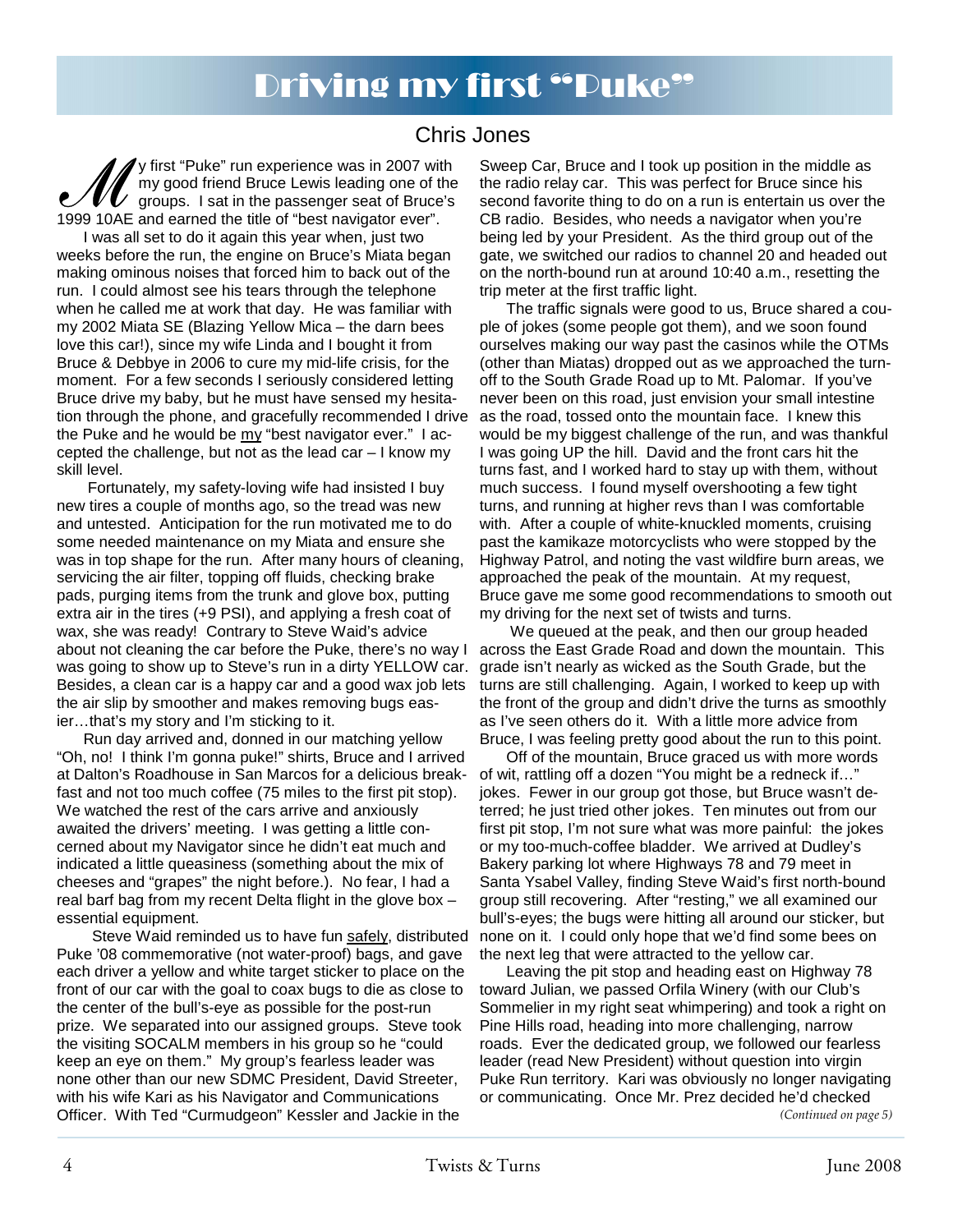# Driving my first "Puke"

## Chris Jones

y first "Puke" run experience was in 2007 with my good friend Bruce Lewis leading one of the  $\boldsymbol{W}$  groups. I sat in the passenger seat of Bruce's 1999 10AE and earned the title of "best navigator ever".

I was all set to do it again this year when, just two weeks before the run, the engine on Bruce's Miata began making ominous noises that forced him to back out of the run. I could almost see his tears through the telephone when he called me at work that day. He was familiar with my 2002 Miata SE (Blazing Yellow Mica – the darn bees love this car!), since my wife Linda and I bought it from Bruce & Debbye in 2006 to cure my mid-life crisis, for the moment. For a few seconds I seriously considered letting Bruce drive my baby, but he must have sensed my hesitation through the phone, and gracefully recommended I drive the Puke and he would be my "best navigator ever." I accepted the challenge, but not as the lead car – I know my skill level.

 Fortunately, my safety-loving wife had insisted I buy new tires a couple of months ago, so the tread was new and untested. Anticipation for the run motivated me to do some needed maintenance on my Miata and ensure she was in top shape for the run. After many hours of cleaning, servicing the air filter, topping off fluids, checking brake pads, purging items from the trunk and glove box, putting extra air in the tires (+9 PSI), and applying a fresh coat of wax, she was ready! Contrary to Steve Waid's advice about not cleaning the car before the Puke, there's no way I was going to show up to Steve's run in a dirty YELLOW car. Besides, a clean car is a happy car and a good wax job lets the air slip by smoother and makes removing bugs easier…that's my story and I'm sticking to it.

Run day arrived and, donned in our matching yellow "Oh, no! I think I'm gonna puke!" shirts, Bruce and I arrived at Dalton's Roadhouse in San Marcos for a delicious breakfast and not too much coffee (75 miles to the first pit stop). We watched the rest of the cars arrive and anxiously awaited the drivers' meeting. I was getting a little concerned about my Navigator since he didn't eat much and indicated a little queasiness (something about the mix of cheeses and "grapes" the night before.). No fear, I had a real barf bag from my recent Delta flight in the glove box – essential equipment.

 Steve Waid reminded us to have fun safely, distributed Puke '08 commemorative (not water-proof) bags, and gave each driver a yellow and white target sticker to place on the front of our car with the goal to coax bugs to die as close to the center of the bull's-eye as possible for the post-run prize. We separated into our assigned groups. Steve took the visiting SOCALM members in his group so he "could keep an eye on them." My group's fearless leader was none other than our new SDMC President, David Streeter, with his wife Kari as his Navigator and Communications Officer. With Ted "Curmudgeon" Kessler and Jackie in the

Sweep Car, Bruce and I took up position in the middle as the radio relay car. This was perfect for Bruce since his second favorite thing to do on a run is entertain us over the CB radio. Besides, who needs a navigator when you're being led by your President. As the third group out of the gate, we switched our radios to channel 20 and headed out on the north-bound run at around 10:40 a.m., resetting the trip meter at the first traffic light.

The traffic signals were good to us, Bruce shared a couple of jokes (some people got them), and we soon found ourselves making our way past the casinos while the OTMs (other than Miatas) dropped out as we approached the turnoff to the South Grade Road up to Mt. Palomar. If you've never been on this road, just envision your small intestine as the road, tossed onto the mountain face. I knew this would be my biggest challenge of the run, and was thankful I was going UP the hill. David and the front cars hit the turns fast, and I worked hard to stay up with them, without much success. I found myself overshooting a few tight turns, and running at higher revs than I was comfortable with. After a couple of white-knuckled moments, cruising past the kamikaze motorcyclists who were stopped by the Highway Patrol, and noting the vast wildfire burn areas, we approached the peak of the mountain. At my request, Bruce gave me some good recommendations to smooth out my driving for the next set of twists and turns.

 We queued at the peak, and then our group headed across the East Grade Road and down the mountain. This grade isn't nearly as wicked as the South Grade, but the turns are still challenging. Again, I worked to keep up with the front of the group and didn't drive the turns as smoothly as I've seen others do it. With a little more advice from Bruce, I was feeling pretty good about the run to this point.

Off of the mountain, Bruce graced us with more words of wit, rattling off a dozen "You might be a redneck if…" jokes. Fewer in our group got those, but Bruce wasn't deterred; he just tried other jokes. Ten minutes out from our first pit stop, I'm not sure what was more painful: the jokes or my too-much-coffee bladder. We arrived at Dudley's Bakery parking lot where Highways 78 and 79 meet in Santa Ysabel Valley, finding Steve Waid's first north-bound group still recovering. After "resting," we all examined our bull's-eyes; the bugs were hitting all around our sticker, but none on it. I could only hope that we'd find some bees on the next leg that were attracted to the yellow car.

Leaving the pit stop and heading east on Highway 78 toward Julian, we passed Orfila Winery (with our Club's Sommelier in my right seat whimpering) and took a right on Pine Hills road, heading into more challenging, narrow roads. Ever the dedicated group, we followed our fearless leader (read New President) without question into virgin Puke Run territory. Kari was obviously no longer navigating or communicating. Once Mr. Prez decided he'd checked *(Continued on page 5)*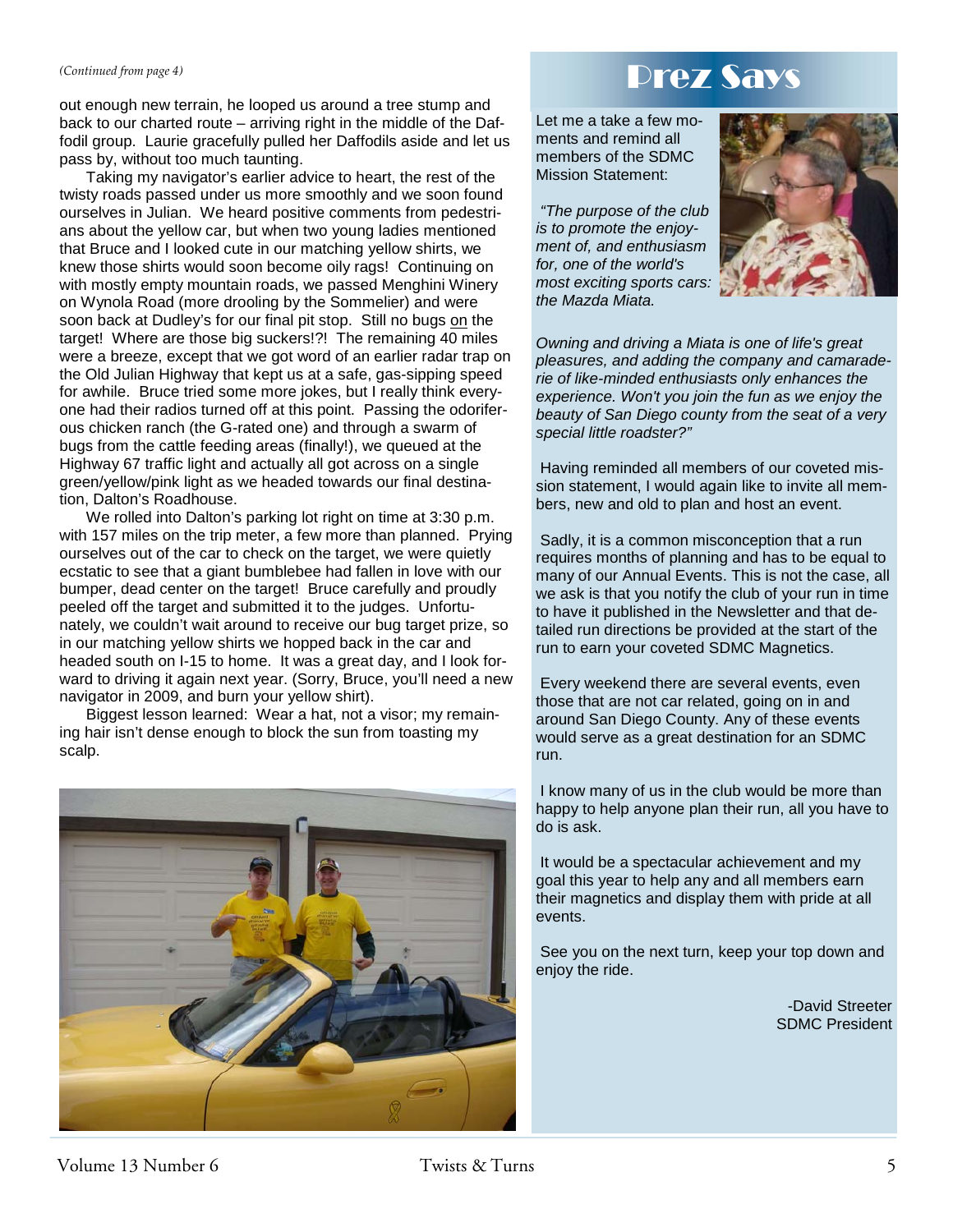out enough new terrain, he looped us around a tree stump and back to our charted route – arriving right in the middle of the Daffodil group. Laurie gracefully pulled her Daffodils aside and let us pass by, without too much taunting.

Taking my navigator's earlier advice to heart, the rest of the twisty roads passed under us more smoothly and we soon found ourselves in Julian. We heard positive comments from pedestrians about the yellow car, but when two young ladies mentioned that Bruce and I looked cute in our matching yellow shirts, we knew those shirts would soon become oily rags! Continuing on with mostly empty mountain roads, we passed Menghini Winery on Wynola Road (more drooling by the Sommelier) and were soon back at Dudley's for our final pit stop. Still no bugs on the target! Where are those big suckers!?! The remaining 40 miles were a breeze, except that we got word of an earlier radar trap on the Old Julian Highway that kept us at a safe, gas-sipping speed for awhile. Bruce tried some more jokes, but I really think everyone had their radios turned off at this point. Passing the odoriferous chicken ranch (the G-rated one) and through a swarm of bugs from the cattle feeding areas (finally!), we queued at the Highway 67 traffic light and actually all got across on a single green/yellow/pink light as we headed towards our final destination, Dalton's Roadhouse.

We rolled into Dalton's parking lot right on time at 3:30 p.m. with 157 miles on the trip meter, a few more than planned. Prying ourselves out of the car to check on the target, we were quietly ecstatic to see that a giant bumblebee had fallen in love with our bumper, dead center on the target! Bruce carefully and proudly peeled off the target and submitted it to the judges. Unfortunately, we couldn't wait around to receive our bug target prize, so in our matching yellow shirts we hopped back in the car and headed south on I-15 to home. It was a great day, and I look forward to driving it again next year. (Sorry, Bruce, you'll need a new navigator in 2009, and burn your yellow shirt).

Biggest lesson learned: Wear a hat, not a visor; my remaining hair isn't dense enough to block the sun from toasting my scalp.



# *(Continued from page 4)* **Prez Says**

Let me a take a few moments and remind all members of the SDMC Mission Statement:

*"The purpose of the club is to promote the enjoyment of, and enthusiasm for, one of the world's most exciting sports cars: the Mazda Miata.* 



*Owning and driving a Miata is one of life's great pleasures, and adding the company and camaraderie of like-minded enthusiasts only enhances the experience. Won't you join the fun as we enjoy the beauty of San Diego county from the seat of a very special little roadster?"* 

 Having reminded all members of our coveted mission statement, I would again like to invite all members, new and old to plan and host an event.

 Sadly, it is a common misconception that a run requires months of planning and has to be equal to many of our Annual Events. This is not the case, all we ask is that you notify the club of your run in time to have it published in the Newsletter and that detailed run directions be provided at the start of the run to earn your coveted SDMC Magnetics.

 Every weekend there are several events, even those that are not car related, going on in and around San Diego County. Any of these events would serve as a great destination for an SDMC run.

 I know many of us in the club would be more than happy to help anyone plan their run, all you have to do is ask.

 It would be a spectacular achievement and my goal this year to help any and all members earn their magnetics and display them with pride at all events.

 See you on the next turn, keep your top down and enjoy the ride.

> -David Streeter SDMC President

## Volume 13 Number 6 Twists & Turns 5 Twists 3. Turns 5 St. Turns 5 St. Turns 5 St. Turns 5 St. Turns 5 St. Turns 5 St. Turns 5 St. Turns 5 St. Turns 5 St. Turns 5 St. Turns 5 St. Turns 5 St. Turns 5 St. Turns 5 St. Turns 5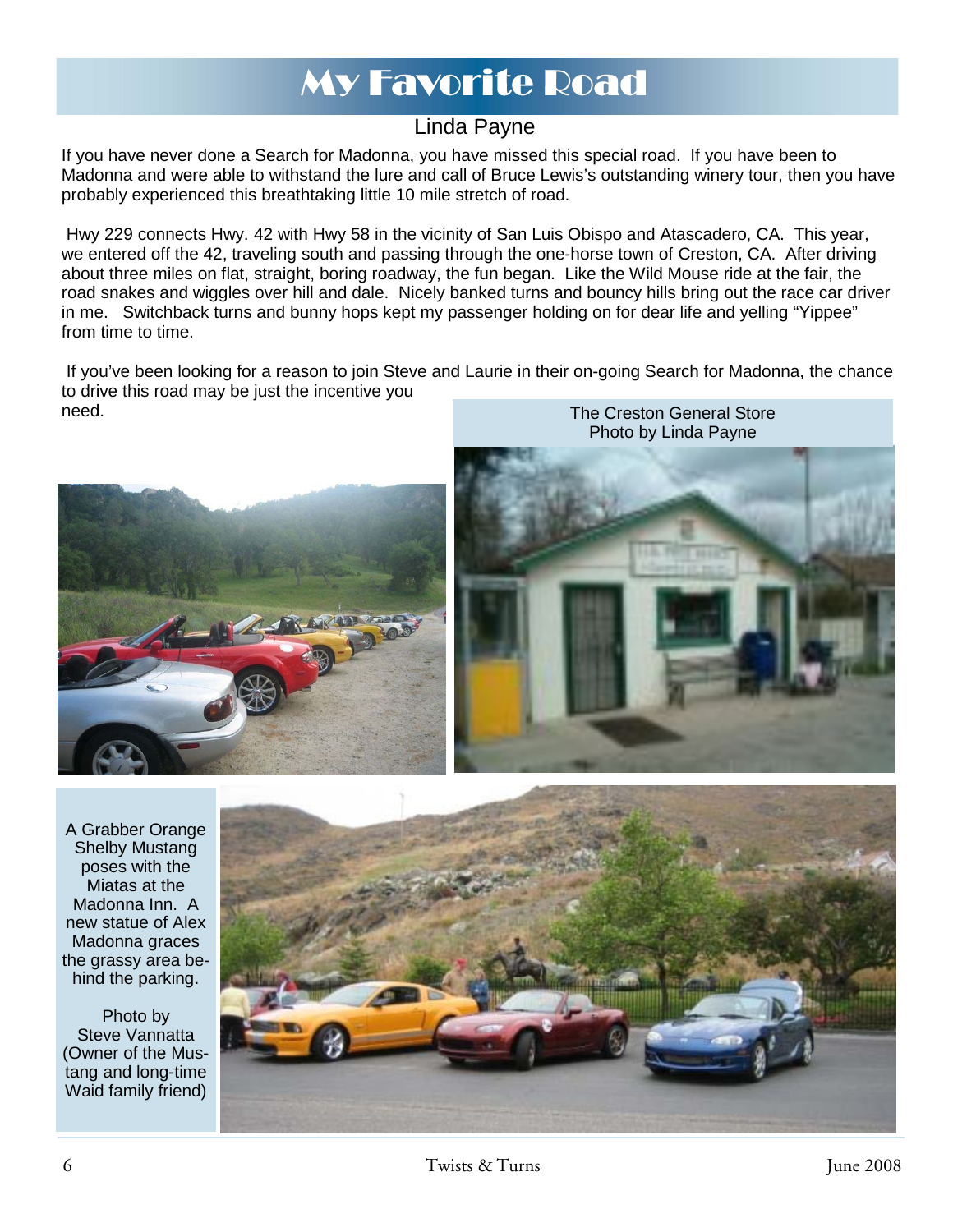# My Favorite Road

## Linda Payne

If you have never done a Search for Madonna, you have missed this special road. If you have been to Madonna and were able to withstand the lure and call of Bruce Lewis's outstanding winery tour, then you have probably experienced this breathtaking little 10 mile stretch of road.

 Hwy 229 connects Hwy. 42 with Hwy 58 in the vicinity of San Luis Obispo and Atascadero, CA. This year, we entered off the 42, traveling south and passing through the one-horse town of Creston, CA. After driving about three miles on flat, straight, boring roadway, the fun began. Like the Wild Mouse ride at the fair, the road snakes and wiggles over hill and dale. Nicely banked turns and bouncy hills bring out the race car driver in me. Switchback turns and bunny hops kept my passenger holding on for dear life and yelling "Yippee" from time to time.

 If you've been looking for a reason to join Steve and Laurie in their on-going Search for Madonna, the chance to drive this road may be just the incentive you need. The Creston General Store



A Grabber Orange Shelby Mustang poses with the Miatas at the Madonna Inn. A new statue of Alex Madonna graces the grassy area behind the parking.

Photo by Steve Vannatta (Owner of the Mustang and long-time Waid family friend)

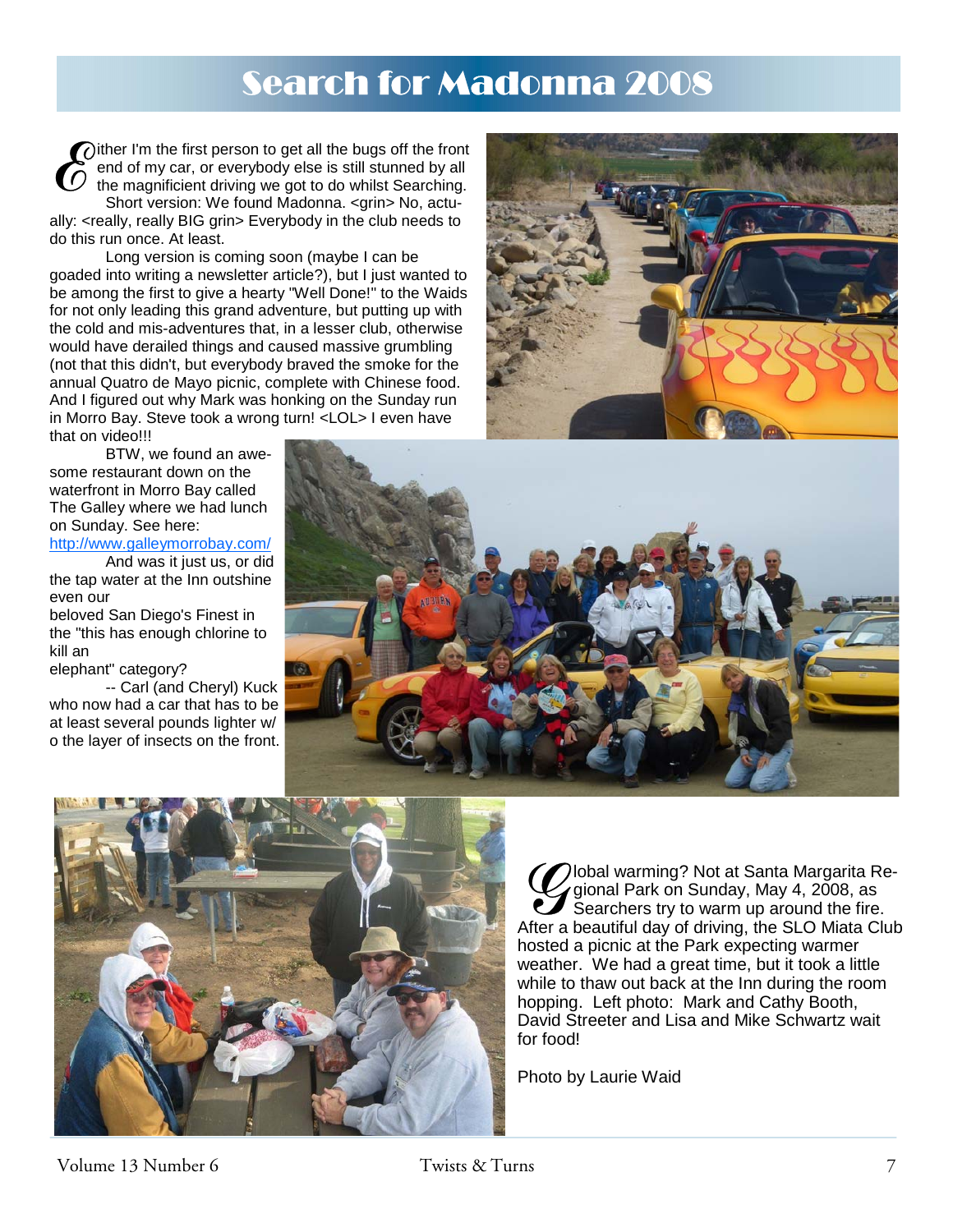# Search for Madonna 2008

 $\bigcirc$  ither I'm the first person to get all the bugs off the front end of my car, or everybody else is still stunned by all the magnificient driving we got to do whilst Searching. Short version: We found Madonna. < grin> No, actually: <really, really BIG grin> Everybody in the club needs to do this run once. At least.

 Long version is coming soon (maybe I can be goaded into writing a newsletter article?), but I just wanted to be among the first to give a hearty "Well Done!" to the Waids for not only leading this grand adventure, but putting up with the cold and mis-adventures that, in a lesser club, otherwise would have derailed things and caused massive grumbling (not that this didn't, but everybody braved the smoke for the annual Quatro de Mayo picnic, complete with Chinese food. And I figured out why Mark was honking on the Sunday run in Morro Bay. Steve took a wrong turn! <LOL> I even have that on video!!!

 BTW, we found an awesome restaurant down on the waterfront in Morro Bay called The Galley where we had lunch on Sunday. See here:

http://www.galleymorrobay.com/

 And was it just us, or did the tap water at the Inn outshine even our

beloved San Diego's Finest in the "this has enough chlorine to kill an

elephant" category?

 -- Carl (and Cheryl) Kuck who now had a car that has to be at least several pounds lighter w/ o the layer of insects on the front.







Cobal warming? Not at Santa Margarita Regional Park on Sunday, May 4, 2008, as<br>Searchers try to warm up around the fire.<br>After a beautiful day of driving, the SLO Miata Club gional Park on Sunday, May 4, 2008, as Searchers try to warm up around the fire. After a beautiful day of driving, the SLO Miata Club hosted a picnic at the Park expecting warmer weather. We had a great time, but it took a little while to thaw out back at the Inn during the room hopping. Left photo: Mark and Cathy Booth, David Streeter and Lisa and Mike Schwartz wait for food!

Photo by Laurie Waid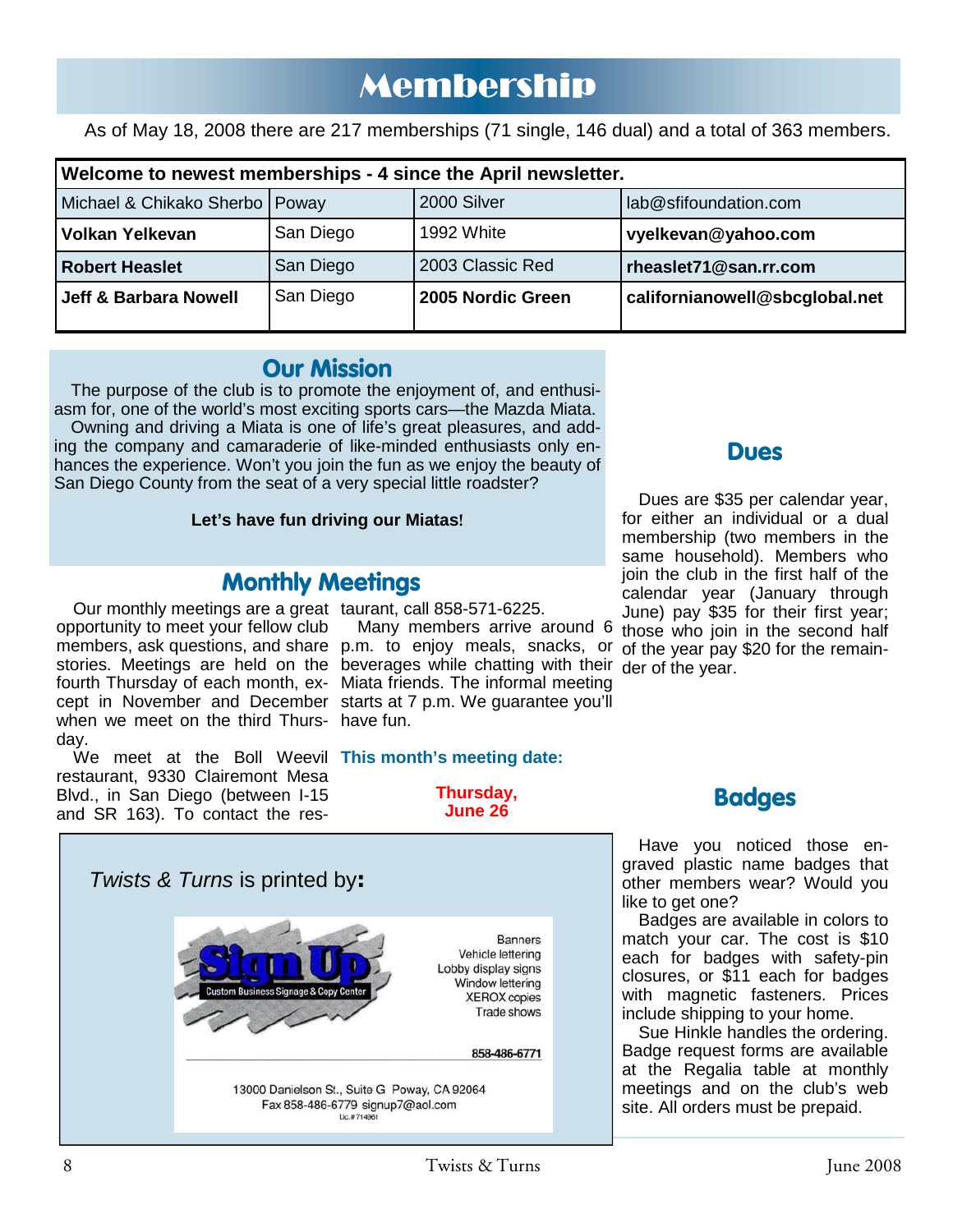# Membership

As of May 18, 2008 there are 217 memberships (71 single, 146 dual) and a total of 363 members.

| Welcome to newest memberships - 4 since the April newsletter. |           |                   |                                |
|---------------------------------------------------------------|-----------|-------------------|--------------------------------|
| Michael & Chikako Sherbo   Poway                              |           | 2000 Silver       | lab@sfifoundation.com          |
| Volkan Yelkevan                                               | San Diego | 1992 White        | vyelkevan@yahoo.com            |
| <b>Robert Heaslet</b>                                         | San Diego | 2003 Classic Red  | rheaslet71@san.rr.com          |
| Jeff & Barbara Nowell                                         | San Diego | 2005 Nordic Green | californianowell@sbcglobal.net |

## **Our Mission**

The purpose of the club is to promote the enjoyment of, and enthusi-

asm for, one of the world's most exciting sports cars—the Mazda Miata. Owning and driving a Miata is one of life's great pleasures, and add-

ing the company and camaraderie of like-minded enthusiasts only enhances the experience. Won't you join the fun as we enjoy the beauty of San Diego County from the seat of a very special little roadster?

## **Let's have fun driving our Miatas!**

## **Monthly Meetings**

Our monthly meetings are a great taurant, call 858-571-6225. opportunity to meet your fellow club fourth Thursday of each month, ex-Miata friends. The informal meeting cept in November and December starts at 7 p.m. We guarantee you'll when we meet on the third Thurs-have fun. day.

We meet at the Boll Weevil **This month's meeting date:**  restaurant, 9330 Clairemont Mesa Blvd., in San Diego (between I-15 and SR 163). To contact the res-

# members, ask questions, and share p.m. to enjoy meals, snacks, or of the year pay \$20 for the remainstories. Meetings are held on the beverages while chatting with their der of the year. Many members arrive around 6

**Thursday, June 26** 



**Dues** 

Dues are \$35 per calendar year, for either an individual or a dual membership (two members in the same household). Members who join the club in the first half of the calendar year (January through June) pay \$35 for their first year; those who join in the second half

Have you noticed those engraved plastic name badges that other members wear? Would you like to get one?

**Badges** 

Badges are available in colors to match your car. The cost is \$10 each for badges with safety-pin closures, or \$11 each for badges with magnetic fasteners. Prices include shipping to your home.

Sue Hinkle handles the ordering. Badge request forms are available at the Regalia table at monthly meetings and on the club's web site. All orders must be prepaid.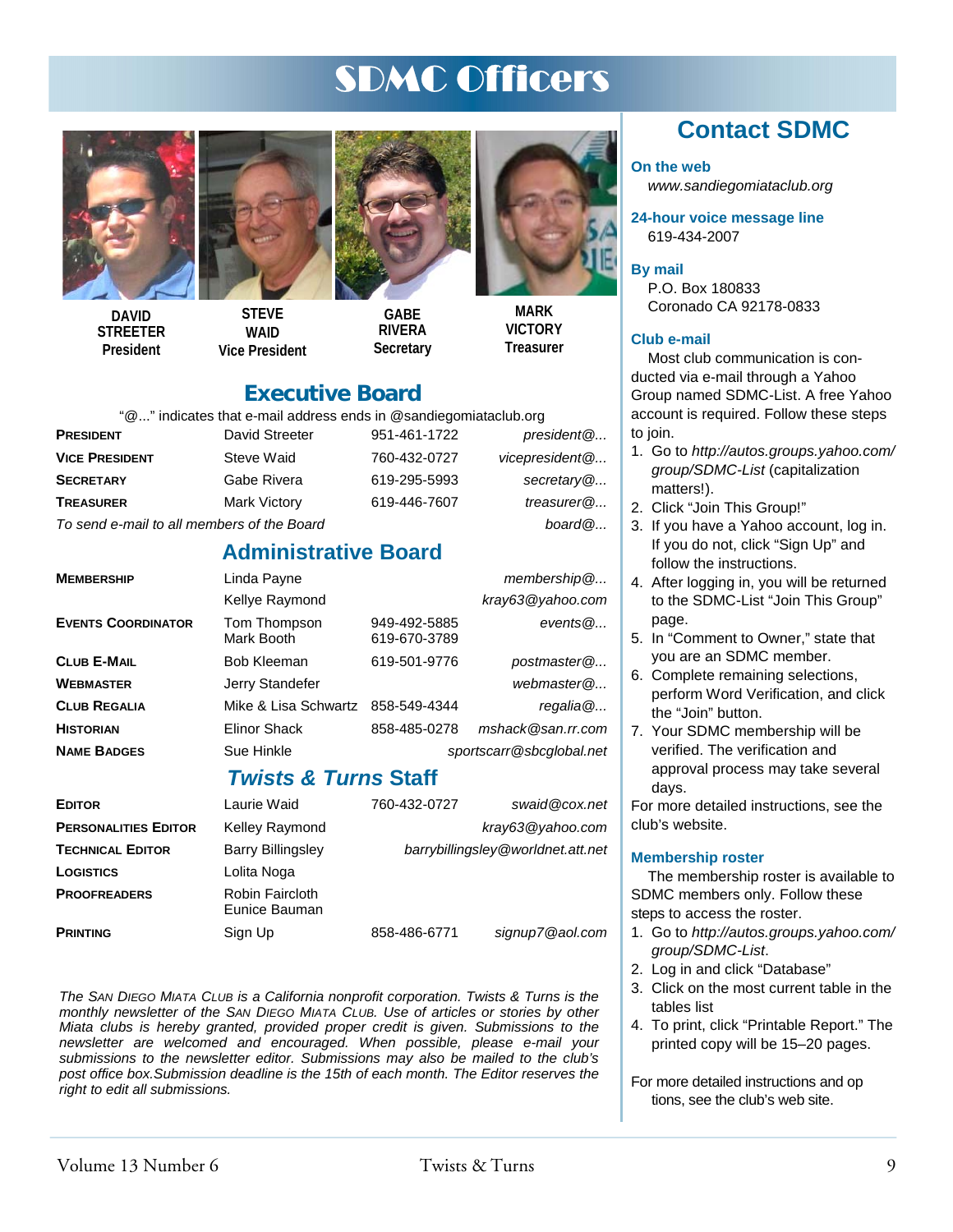# SDMC Officers



**DAVID STREETER President** 





**GABE RIVERA Secretary** 



**VICTORY Treasurer** 

## **Executive Board**

"@..." indicates that e-mail address ends in @sandiegomiataclub.org

| PRESIDENT                                  | David Streeter | 951-461-1722 | president @    |
|--------------------------------------------|----------------|--------------|----------------|
| <b>VICE PRESIDENT</b>                      | Steve Waid     | 760-432-0727 | vicepresident@ |
| <b>SECRETARY</b>                           | Gabe Rivera    | 619-295-5993 | secretary $@$  |
| Treasurer                                  | Mark Victory   | 619-446-7607 | treasurer@     |
| To send e-mail to all members of the Board |                |              | board@         |

## **Administrative Board**

| <b>MEMBERSHIP</b>         | Linda Payne                |                              | $m$ embership $@$        |
|---------------------------|----------------------------|------------------------------|--------------------------|
|                           | Kellye Raymond             |                              | kray63@yahoo.com         |
| <b>EVENTS COORDINATOR</b> | Tom Thompson<br>Mark Booth | 949-492-5885<br>619-670-3789 | events $@$               |
| CLUB E-MAIL               | Bob Kleeman                | 619-501-9776                 | postmaster@              |
| WEBMASTER                 | Jerry Standefer            |                              | webmaster $@$            |
| <b>CLUB REGALIA</b>       | Mike & Lisa Schwartz       | 858-549-4344                 | regalia@                 |
| <b>HISTORIAN</b>          | Elinor Shack               | 858-485-0278                 | mshack@san.rr.com        |
| <b>NAME BADGES</b>        | Sue Hinkle                 |                              | sportscarr@sbcglobal.net |
|                           |                            |                              |                          |

## *Twists & Turns* **Staff**

| <b>EDITOR</b>               | Laurie Waid                      | 760-432-0727                      | swaid@cox.net    |
|-----------------------------|----------------------------------|-----------------------------------|------------------|
| <b>PERSONALITIES EDITOR</b> | Kelley Raymond                   |                                   | kray63@yahoo.com |
| <b>TECHNICAL EDITOR</b>     | <b>Barry Billingsley</b>         | barrybillingsley@worldnet.att.net |                  |
| LOGISTICS                   | Lolita Noga                      |                                   |                  |
| <b>PROOFREADERS</b>         | Robin Faircloth<br>Eunice Bauman |                                   |                  |
| PRINTING                    | Sign Up                          | 858-486-6771                      | signup7@aol.com  |

*The SAN DIEGO MIATA CLUB is a California nonprofit corporation. Twists & Turns is the monthly newsletter of the SAN DIEGO MIATA CLUB. Use of articles or stories by other Miata clubs is hereby granted, provided proper credit is given. Submissions to the newsletter are welcomed and encouraged. When possible, please e-mail your submissions to the newsletter editor. Submissions may also be mailed to the club's post office box.Submission deadline is the 15th of each month. The Editor reserves the right to edit all submissions.* 

## **Contact SDMC**

#### **On the web**

*www.sandiegomiataclub.org* 

**24-hour voice message line**  619-434-2007

#### **By mail**

P.O. Box 180833 Coronado CA 92178-0833

#### **Club e-mail**

Most club communication is conducted via e-mail through a Yahoo Group named SDMC-List. A free Yahoo account is required. Follow these steps to join.

- 1. Go to *http://autos.groups.yahoo.com/ group/SDMC-List* (capitalization matters!).
- 2. Click "Join This Group!"
- 3. If you have a Yahoo account, log in. If you do not, click "Sign Up" and follow the instructions.
- 4. After logging in, you will be returned to the SDMC-List "Join This Group" page.
- 5. In "Comment to Owner," state that you are an SDMC member.
- 6. Complete remaining selections, perform Word Verification, and click the "Join" button.
- 7. Your SDMC membership will be verified. The verification and approval process may take several days.

For more detailed instructions, see the club's website.

#### **Membership roster**

The membership roster is available to SDMC members only. Follow these steps to access the roster.

- 1. Go to *http://autos.groups.yahoo.com/ group/SDMC-List*.
- 2. Log in and click "Database"
- 3. Click on the most current table in the tables list
- 4. To print, click "Printable Report." The printed copy will be 15–20 pages.

For more detailed instructions and op tions, see the club's web site.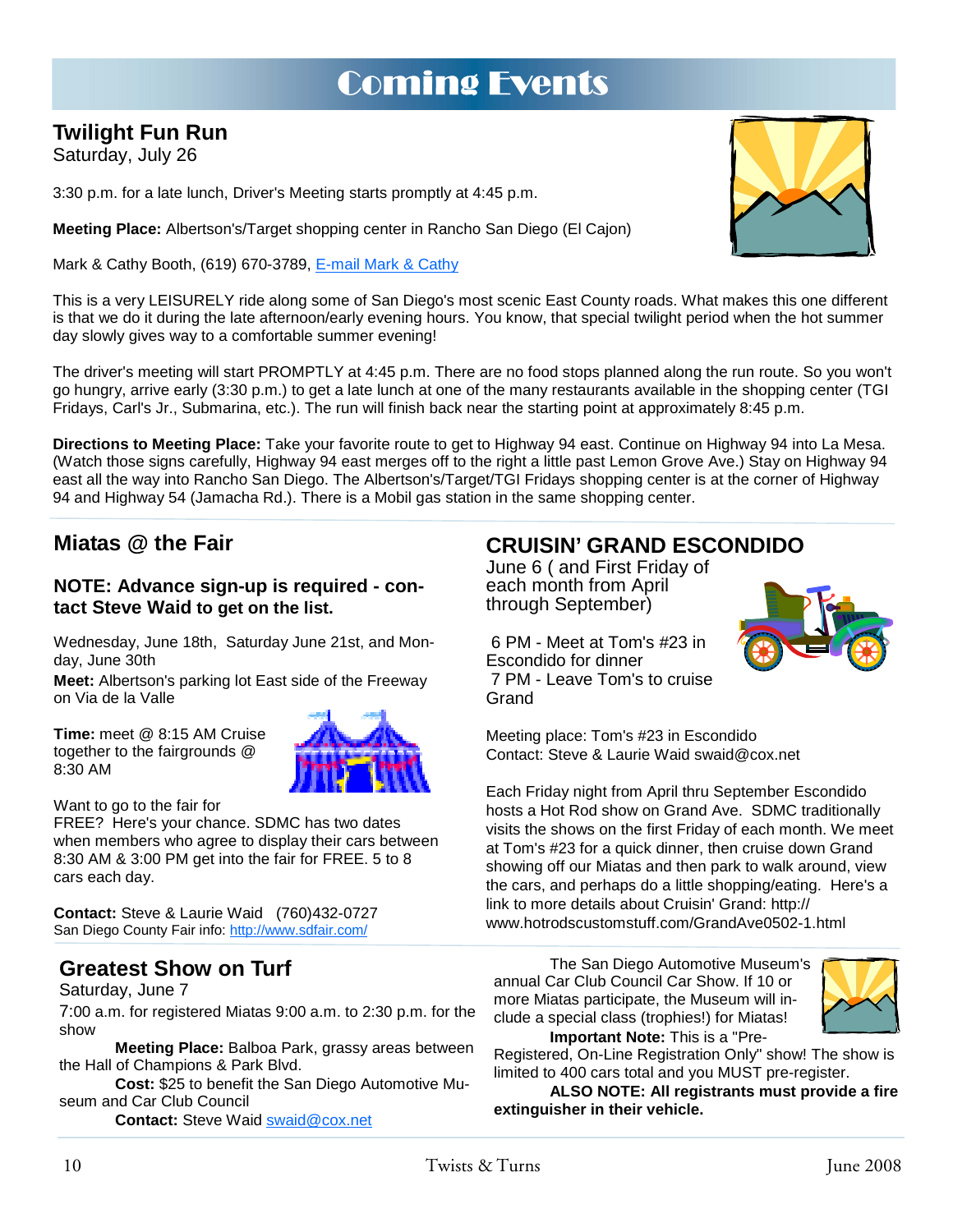# Coming Events

## **Twilight Fun Run**

Saturday, July 26

3:30 p.m. for a late lunch, Driver's Meeting starts promptly at 4:45 p.m.

**Meeting Place:** Albertson's/Target shopping center in Rancho San Diego (El Cajon)

Mark & Cathy Booth, (619) 670-3789, E-mail Mark & Cathy

This is a very LEISURELY ride along some of San Diego's most scenic East County roads. What makes this one different is that we do it during the late afternoon/early evening hours. You know, that special twilight period when the hot summer day slowly gives way to a comfortable summer evening!

The driver's meeting will start PROMPTLY at 4:45 p.m. There are no food stops planned along the run route. So you won't go hungry, arrive early (3:30 p.m.) to get a late lunch at one of the many restaurants available in the shopping center (TGI Fridays, Carl's Jr., Submarina, etc.). The run will finish back near the starting point at approximately 8:45 p.m.

**Directions to Meeting Place:** Take your favorite route to get to Highway 94 east. Continue on Highway 94 into La Mesa. (Watch those signs carefully, Highway 94 east merges off to the right a little past Lemon Grove Ave.) Stay on Highway 94 east all the way into Rancho San Diego. The Albertson's/Target/TGI Fridays shopping center is at the corner of Highway 94 and Highway 54 (Jamacha Rd.). There is a Mobil gas station in the same shopping center.

## **Miatas @ the Fair**

## **NOTE: Advance sign-up is required - contact Steve Waid to get on the list.**

Wednesday, June 18th, Saturday June 21st, and Monday, June 30th

**Meet:** Albertson's parking lot East side of the Freeway on Via de la Valle

**Time:** meet @ 8:15 AM Cruise together to the fairgrounds @ 8:30 AM

Want to go to the fair for

FREE? Here's your chance. SDMC has two dates when members who agree to display their cars between 8:30 AM & 3:00 PM get into the fair for FREE. 5 to 8 cars each day.

**Contact:** Steve & Laurie Waid (760)432-0727 San Diego County Fair info: http://www.sdfair.com/

## **Greatest Show on Turf**

### Saturday, June 7

7:00 a.m. for registered Miatas 9:00 a.m. to 2:30 p.m. for the show

**Meeting Place:** Balboa Park, grassy areas between the Hall of Champions & Park Blvd.

**Cost:** \$25 to benefit the San Diego Automotive Museum and Car Club Council

**Contact:** Steve Waid swaid@cox.net

## **CRUISIN' GRAND ESCONDIDO**

June 6 ( and First Friday of each month from April through September)



6 PM - Meet at Tom's #23 in Escondido for dinner 7 PM - Leave Tom's to cruise Grand

Meeting place: Tom's #23 in Escondido Contact: Steve & Laurie Waid swaid@cox.net

Each Friday night from April thru September Escondido hosts a Hot Rod show on Grand Ave. SDMC traditionally visits the shows on the first Friday of each month. We meet at Tom's #23 for a quick dinner, then cruise down Grand showing off our Miatas and then park to walk around, view the cars, and perhaps do a little shopping/eating. Here's a link to more details about Cruisin' Grand: http:// www.hotrodscustomstuff.com/GrandAve0502-1.html

 The San Diego Automotive Museum's annual Car Club Council Car Show. If 10 or more Miatas participate, the Museum will include a special class (trophies!) for Miatas!  **Important Note:** This is a "Pre-



Registered, On-Line Registration Only" show! The show is limited to 400 cars total and you MUST pre-register.

**ALSO NOTE: All registrants must provide a fire extinguisher in their vehicle.**

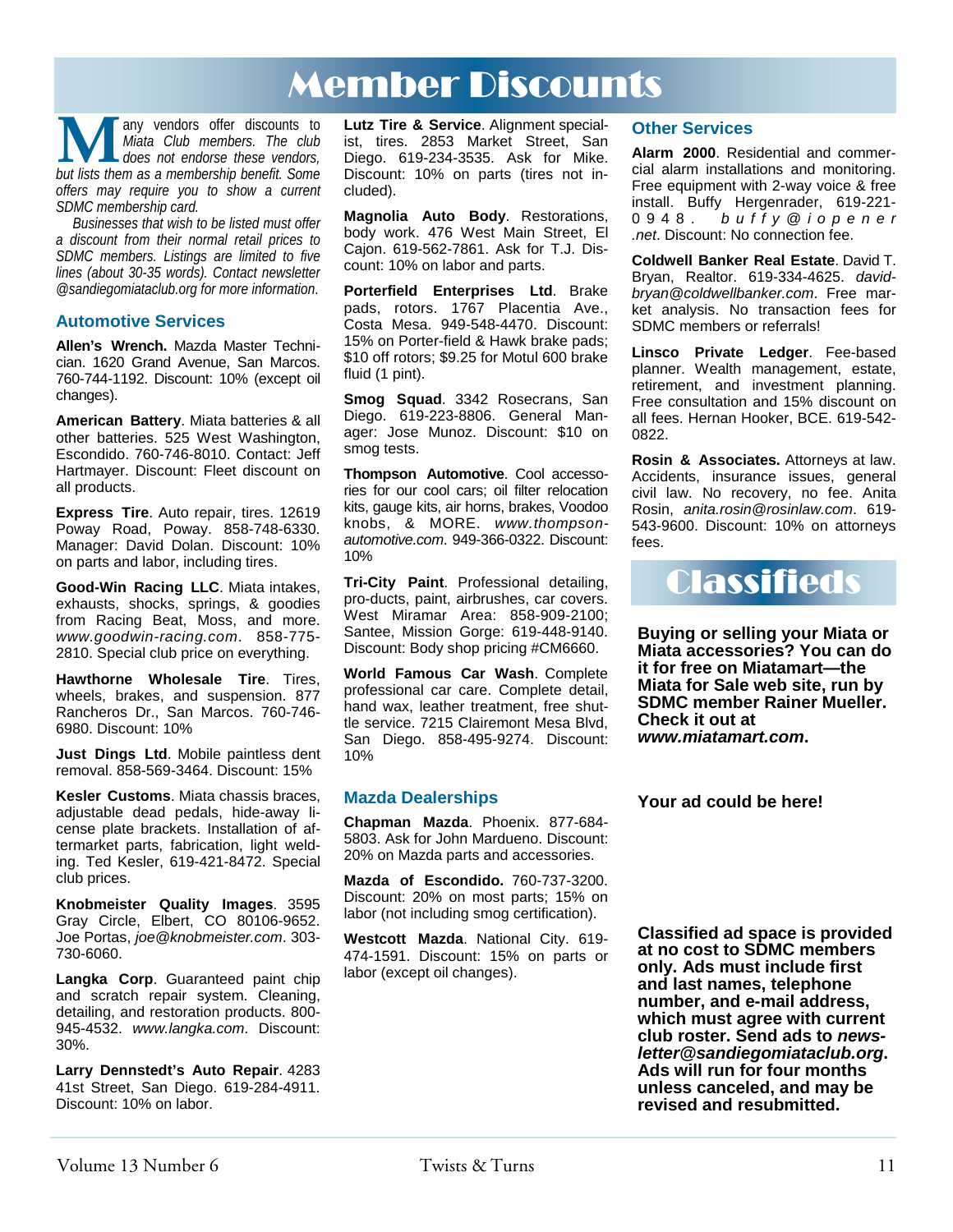# Member Discounts

**M** any vendors offer discounts to *Miata Club members. The club* does not endorse these vendors, but lists them as a membership benefit. Some *Miata Club members. The club does not endorse these vendors, offers may require you to show a current SDMC membership card.* 

*Businesses that wish to be listed must offer a discount from their normal retail prices to SDMC members. Listings are limited to five lines (about 30-35 words). Contact newsletter @sandiegomiataclub.org for more information*.

#### **Automotive Services**

**Allen's Wrench.** Mazda Master Technician. 1620 Grand Avenue, San Marcos. 760-744-1192. Discount: 10% (except oil changes).

**American Battery**. Miata batteries & all other batteries. 525 West Washington, Escondido. 760-746-8010. Contact: Jeff Hartmayer. Discount: Fleet discount on all products.

**Express Tire**. Auto repair, tires. 12619 Poway Road, Poway. 858-748-6330. Manager: David Dolan. Discount: 10% on parts and labor, including tires.

**Good-Win Racing LLC**. Miata intakes, exhausts, shocks, springs, & goodies from Racing Beat, Moss, and more. *www.goodwin-racing.com*. 858-775- 2810. Special club price on everything.

**Hawthorne Wholesale Tire**. Tires, wheels, brakes, and suspension. 877 Rancheros Dr., San Marcos. 760-746- 6980. Discount: 10%

**Just Dings Ltd**. Mobile paintless dent removal. 858-569-3464. Discount: 15%

**Kesler Customs**. Miata chassis braces, adjustable dead pedals, hide-away license plate brackets. Installation of aftermarket parts, fabrication, light welding. Ted Kesler, 619-421-8472. Special club prices.

**Knobmeister Quality Images**. 3595 Gray Circle, Elbert, CO 80106-9652. Joe Portas, *joe@knobmeister.com*. 303- 730-6060.

**Langka Corp**. Guaranteed paint chip and scratch repair system. Cleaning, detailing, and restoration products. 800- 945-4532. *www.langka.com*. Discount: 30%.

**Larry Dennstedt's Auto Repair**. 4283 41st Street, San Diego. 619-284-4911. Discount: 10% on labor.

**Lutz Tire & Service**. Alignment specialist, tires. 2853 Market Street, San Diego. 619-234-3535. Ask for Mike. Discount: 10% on parts (tires not included).

**Magnolia Auto Body**. Restorations, body work. 476 West Main Street, El Cajon. 619-562-7861. Ask for T.J. Discount: 10% on labor and parts.

**Porterfield Enterprises Ltd**. Brake pads, rotors. 1767 Placentia Ave., Costa Mesa. 949-548-4470. Discount: 15% on Porter-field & Hawk brake pads; \$10 off rotors; \$9.25 for Motul 600 brake fluid (1 pint).

**Smog Squad**. 3342 Rosecrans, San Diego. 619-223-8806. General Manager: Jose Munoz. Discount: \$10 on smog tests.

**Thompson Automotive**. Cool accessories for our cool cars; oil filter relocation kits, gauge kits, air horns, brakes, Voodoo knobs, & MORE. *www.thompsonautomotive.com*. 949-366-0322. Discount: 10%

**Tri-City Paint**. Professional detailing, pro-ducts, paint, airbrushes, car covers. West Miramar Area: 858-909-2100; Santee, Mission Gorge: 619-448-9140. Discount: Body shop pricing #CM6660.

**World Famous Car Wash**. Complete professional car care. Complete detail, hand wax, leather treatment, free shuttle service. 7215 Clairemont Mesa Blvd, San Diego. 858-495-9274. Discount: 10%

#### **Mazda Dealerships**

**Chapman Mazda**. Phoenix. 877-684- 5803. Ask for John Mardueno. Discount: 20% on Mazda parts and accessories.

**Mazda of Escondido.** 760-737-3200. Discount: 20% on most parts; 15% on labor (not including smog certification).

**Westcott Mazda**. National City. 619- 474-1591. Discount: 15% on parts or labor (except oil changes).

### **Other Services**

**Alarm 2000**. Residential and commercial alarm installations and monitoring. Free equipment with 2-way voice & free install. Buffy Hergenrader, 619-221- 0948. *b u f f y @ i o p e n e r .net*. Discount: No connection fee.

**Coldwell Banker Real Estate**. David T. Bryan, Realtor. 619-334-4625. *davidbryan@coldwellbanker.com*. Free market analysis. No transaction fees for SDMC members or referrals!

**Linsco Private Ledger**. Fee-based planner. Wealth management, estate, retirement, and investment planning. Free consultation and 15% discount on all fees. Hernan Hooker, BCE. 619-542- 0822.

**Rosin & Associates.** Attorneys at law. Accidents, insurance issues, general civil law. No recovery, no fee. Anita Rosin, *anita.rosin@rosinlaw.com*. 619- 543-9600. Discount: 10% on attorneys fees.



**Buying or selling your Miata or Miata accessories? You can do it for free on Miatamart—the Miata for Sale web site, run by SDMC member Rainer Mueller. Check it out at**  *www.miatamart.com***.** 

**Your ad could be here!** 

**Classified ad space is provided at no cost to SDMC members only. Ads must include first and last names, telephone number, and e-mail address, which must agree with current club roster. Send ads to** *newsletter@sandiegomiataclub.org***. Ads will run for four months unless canceled, and may be revised and resubmitted.**